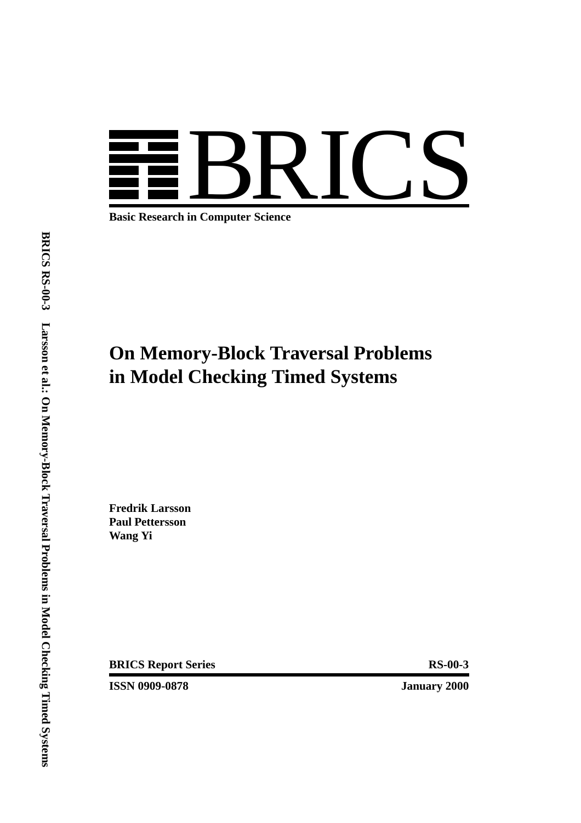

**Basic Research in Computer Science**

# **On Memory-Block Traversal Problems in Model Checking Timed Systems**

**Fredrik Larsson Paul Pettersson Wang Yi**

**BRICS Report Series RS-00-3** 

**ISSN 0909-0878 January 2000**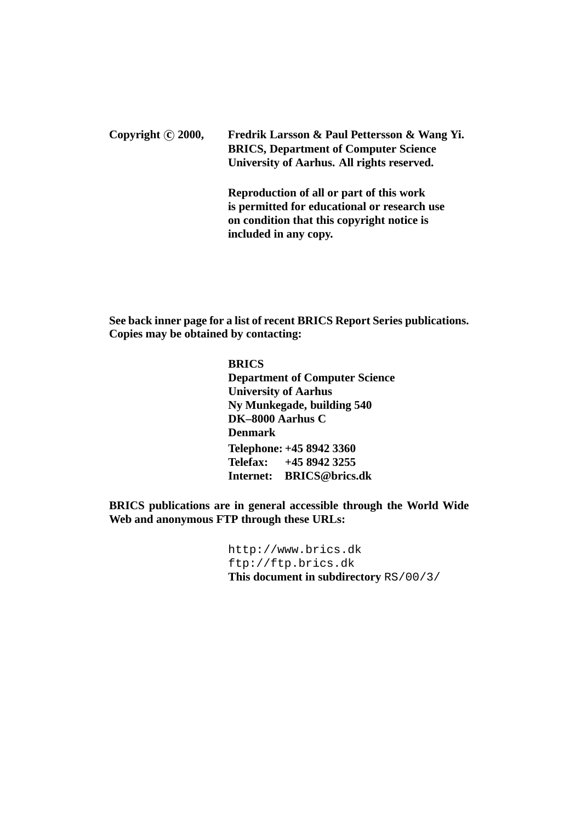Copyright (c) 2000, Fredrik Larsson & Paul Pettersson & Wang Yi. **BRICS, Department of Computer Science University of Aarhus. All rights reserved. Reproduction of all or part of this work**

**is permitted for educational or research use on condition that this copyright notice is included in any copy.**

**See back inner page for a list of recent BRICS Report Series publications. Copies may be obtained by contacting:**

> **BRICS Department of Computer Science University of Aarhus Ny Munkegade, building 540 DK–8000 Aarhus C Denmark Telephone: +45 8942 3360 Telefax: +45 8942 3255 Internet: BRICS@brics.dk**

**BRICS publications are in general accessible through the World Wide Web and anonymous FTP through these URLs:**

> http://www.brics.dk ftp://ftp.brics.dk **This document in subdirectory** RS/00/3/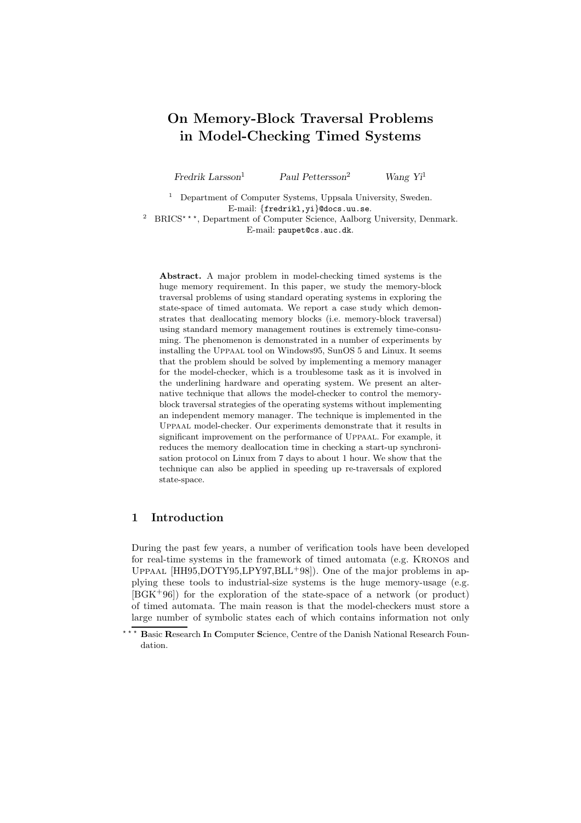# **On Memory-Block Traversal Problems in Model-Checking Timed Systems**

*Fredrik Larsson*<sup>1</sup> *Paul Pettersson*<sup>2</sup> *Wang Yi*<sup>1</sup>

<sup>1</sup> Department of Computer Systems, Uppsala University, Sweden. E-mail: {fredrikl,yi}@docs.uu.se. <sup>2</sup> BRICS\*\*\*, Department of Computer Science, Aalborg University, Denmark. E-mail: paupet@cs.auc.dk.

**Abstract.** A major problem in model-checking timed systems is the huge memory requirement. In this paper, we study the memory-block traversal problems of using standard operating systems in exploring the state-space of timed automata. We report a case study which demonstrates that deallocating memory blocks (i.e. memory-block traversal) using standard memory management routines is extremely time-consuming. The phenomenon is demonstrated in a number of experiments by installing the Uppaal tool on Windows95, SunOS 5 and Linux. It seems that the problem should be solved by implementing a memory manager for the model-checker, which is a troublesome task as it is involved in the underlining hardware and operating system. We present an alternative technique that allows the model-checker to control the memoryblock traversal strategies of the operating systems without implementing an independent memory manager. The technique is implemented in the Uppaal model-checker. Our experiments demonstrate that it results in significant improvement on the performance of Uppaal. For example, it reduces the memory deallocation time in checking a start-up synchronisation protocol on Linux from 7 days to about 1 hour. We show that the technique can also be applied in speeding up re-traversals of explored state-space.

## **1 Introduction**

During the past few years, a number of verification tools have been developed for real-time systems in the framework of timed automata (e.g. Kronos and Uppaal [HH95,DOTY95,LPY97,BLL<sup>+</sup>98]). One of the major problems in applying these tools to industrial-size systems is the huge memory-usage (e.g.  $[BG<sub>K</sub>+96]$  for the exploration of the state-space of a network (or product) of timed automata. The main reason is that the model-checkers must store a large number of symbolic states each of which contains information not only

<sup>???</sup> **B**asic **R**esearch **I**n **C**omputer **S**cience, Centre of the Danish National Research Foundation.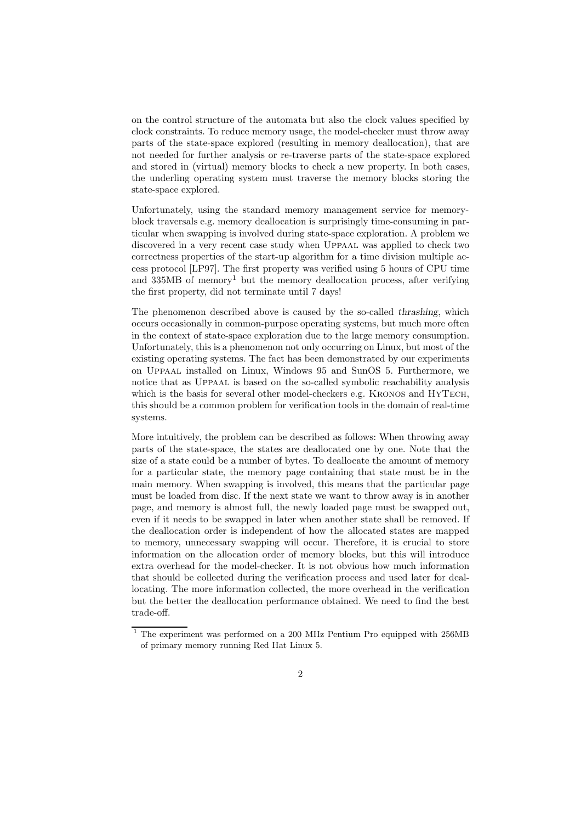on the control structure of the automata but also the clock values specified by clock constraints. To reduce memory usage, the model-checker must throw away parts of the state-space explored (resulting in memory deallocation), that are not needed for further analysis or re-traverse parts of the state-space explored and stored in (virtual) memory blocks to check a new property. In both cases, the underling operating system must traverse the memory blocks storing the state-space explored.

Unfortunately, using the standard memory management service for memoryblock traversals e.g. memory deallocation is surprisingly time-consuming in particular when swapping is involved during state-space exploration. A problem we discovered in a very recent case study when Uppaal was applied to check two correctness properties of the start-up algorithm for a time division multiple access protocol [LP97]. The first property was verified using 5 hours of CPU time and  $335MB$  of memory<sup>1</sup> but the memory deallocation process, after verifying the first property, did not terminate until 7 days!

The phenomenon described above is caused by the so-called *thrashing*, which occurs occasionally in common-purpose operating systems, but much more often in the context of state-space exploration due to the large memory consumption. Unfortunately, this is a phenomenon not only occurring on Linux, but most of the existing operating systems. The fact has been demonstrated by our experiments on Uppaal installed on Linux, Windows 95 and SunOS 5. Furthermore, we notice that as Uppaal is based on the so-called symbolic reachability analysis which is the basis for several other model-checkers e.g. KRONOS and HYTECH, this should be a common problem for verification tools in the domain of real-time systems.

More intuitively, the problem can be described as follows: When throwing away parts of the state-space, the states are deallocated one by one. Note that the size of a state could be a number of bytes. To deallocate the amount of memory for a particular state, the memory page containing that state must be in the main memory. When swapping is involved, this means that the particular page must be loaded from disc. If the next state we want to throw away is in another page, and memory is almost full, the newly loaded page must be swapped out, even if it needs to be swapped in later when another state shall be removed. If the deallocation order is independent of how the allocated states are mapped to memory, unnecessary swapping will occur. Therefore, it is crucial to store information on the allocation order of memory blocks, but this will introduce extra overhead for the model-checker. It is not obvious how much information that should be collected during the verification process and used later for deallocating. The more information collected, the more overhead in the verification but the better the deallocation performance obtained. We need to find the best trade-off.

 $^{\rm 1}$  The experiment was performed on a 200 MHz Pentium Pro equipped with 256MB of primary memory running Red Hat Linux 5.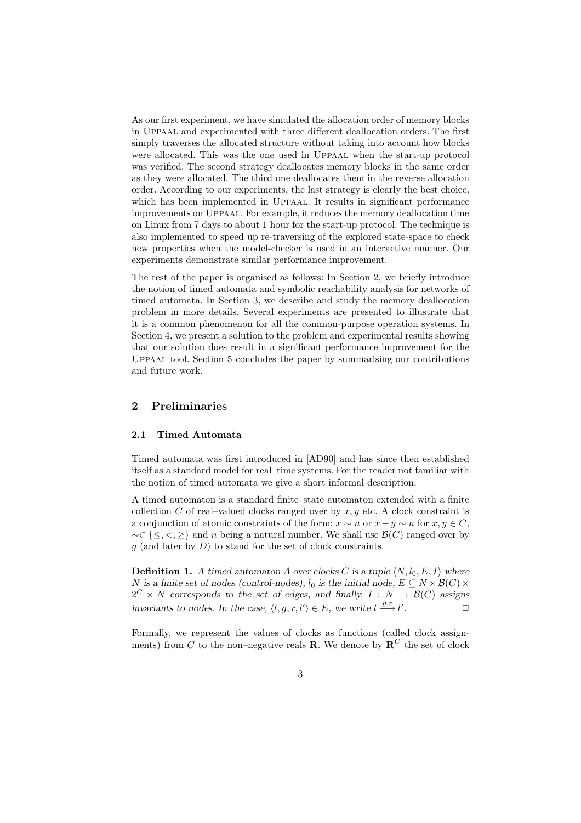As our first experiment, we have simulated the allocation order of memory blocks in Uppaal and experimented with three different deallocation orders. The first simply traverses the allocated structure without taking into account how blocks were allocated. This was the one used in Uppaal when the start-up protocol was verified. The second strategy deallocates memory blocks in the same order as they were allocated. The third one deallocates them in the reverse allocation order. According to our experiments, the last strategy is clearly the best choice, which has been implemented in UPPAAL. It results in significant performance improvements on Uppaal. For example, it reduces the memory deallocation time on Linux from 7 days to about 1 hour for the start-up protocol. The technique is also implemented to speed up re-traversing of the explored state-space to check new properties when the model-checker is used in an interactive manner. Our experiments demonstrate similar performance improvement.

The rest of the paper is organised as follows: In Section 2, we briefly introduce the notion of timed automata and symbolic reachability analysis for networks of timed automata. In Section 3, we describe and study the memory deallocation problem in more details. Several experiments are presented to illustrate that it is a common phenomenon for all the common-purpose operation systems. In Section 4, we present a solution to the problem and experimental results showing that our solution does result in a significant performance improvement for the Uppaal tool. Section 5 concludes the paper by summarising our contributions and future work.

### **2 Preliminaries**

#### **2.1 Timed Automata**

Timed automata was first introduced in [AD90] and has since then established itself as a standard model for real–time systems. For the reader not familiar with the notion of timed automata we give a short informal description.

A timed automaton is a standard finite–state automaton extended with a finite collection C of real–valued clocks ranged over by  $x, y$  etc. A clock constraint is a conjunction of atomic constraints of the form:  $x \sim n$  or  $x - y \sim n$  for  $x, y \in C$ ,  $\sim \in \{ \leq, \leq, \geq \}$  and n being a natural number. We shall use  $\mathcal{B}(C)$  ranged over by  $g$  (and later by  $D$ ) to stand for the set of clock constraints.

**Definition 1.** A timed automaton A over clocks C is a tuple  $\langle N, l_0, E, I \rangle$  where N is a finite set of nodes (control-nodes),  $l_0$  is the initial node,  $E \subseteq N \times \mathcal{B}(C) \times$  $2^C \times N$  *corresponds to the set of edges, and finally,*  $I : N \rightarrow B(C)$  *assigns invariants to nodes.* In the case,  $\langle l, g, r, l' \rangle \in E$ , we write  $l \stackrel{g, r}{\longrightarrow} l'$ *.* ✷

Formally, we represent the values of clocks as functions (called clock assignments) from C to the non–negative reals **R**. We denote by  $\mathbf{R}^C$  the set of clock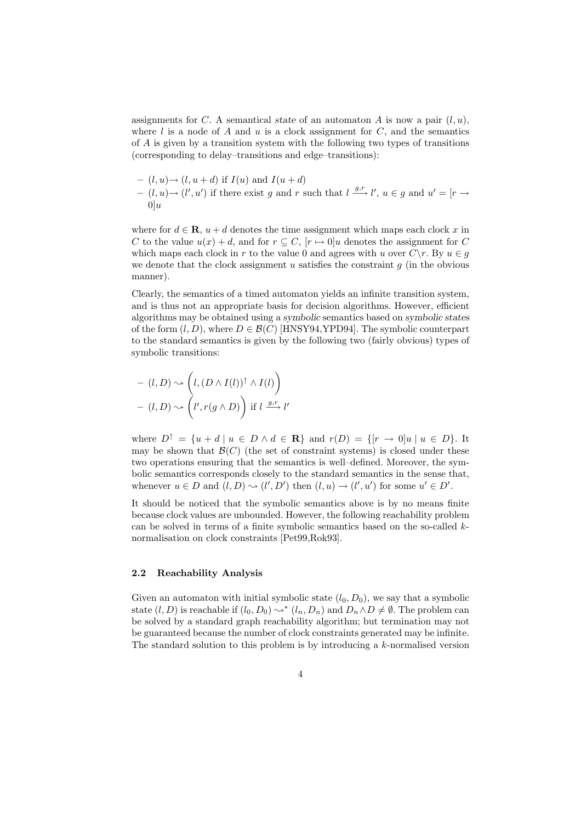assignments for C. A semantical *state* of an automaton A is now a pair  $(l, u)$ , where l is a node of A and u is a clock assignment for  $C$ , and the semantics of A is given by a transition system with the following two types of transitions (corresponding to delay–transitions and edge–transitions):

$$
- (l, u) \to (l, u + d)
$$
 if  $I(u)$  and  $I(u + d)$   

$$
- (l, u) \to (l', u')
$$
 if there exist g and r such that  $l \xrightarrow{g,r} l'$ ,  $u \in g$  and  $u' = [r \to 0]u$ 

where for  $d \in \mathbf{R}$ ,  $u + d$  denotes the time assignment which maps each clock x in C to the value  $u(x) + d$ , and for  $r \subseteq C$ ,  $[r \mapsto 0]u$  denotes the assignment for C which maps each clock in r to the value 0 and agrees with u over  $C\backslash r$ . By  $u \in g$ we denote that the clock assignment u satisfies the constraint  $g$  (in the obvious manner).

Clearly, the semantics of a timed automaton yields an infinite transition system, and is thus not an appropriate basis for decision algorithms. However, efficient algorithms may be obtained using a *symbolic* semantics based on *symbolic states* of the form  $(l, D)$ , where  $D \in \mathcal{B}(C)$  [HNSY94,YPD94]. The symbolic counterpart to the standard semantics is given by the following two (fairly obvious) types of symbolic transitions:

$$
- (l, D) \rightsquigarrow \left( l, (D \wedge I(l))^\dagger \wedge I(l) \right) - (l, D) \rightsquigarrow \left( l', r(g \wedge D) \right) \text{ if } l \xrightarrow{g,r} l'
$$

where  $D^{\uparrow} = \{u + d \mid u \in D \land d \in \mathbf{R}\}\$ and  $r(D) = \{[r \rightarrow 0]u \mid u \in D\}$ . It may be shown that  $\mathcal{B}(C)$  (the set of constraint systems) is closed under these two operations ensuring that the semantics is well–defined. Moreover, the symbolic semantics corresponds closely to the standard semantics in the sense that, whenever  $u \in D$  and  $(l, D) \rightsquigarrow (l', D')$  then  $(l, u) \rightarrow (l', u')$  for some  $u' \in D'$ .

It should be noticed that the symbolic semantics above is by no means finite because clock values are unbounded. However, the following reachability problem can be solved in terms of a finite symbolic semantics based on the so-called knormalisation on clock constraints [Pet99,Rok93].

#### **2.2 Reachability Analysis**

Given an automaton with initial symbolic state  $(l_0, D_0)$ , we say that a symbolic state  $(l, D)$  is reachable if  $(l_0, D_0) \leadsto^* (l_n, D_n)$  and  $D_n \wedge D \neq \emptyset$ . The problem can be solved by a standard graph reachability algorithm; but termination may not be guaranteed because the number of clock constraints generated may be infinite. The standard solution to this problem is by introducing a k-normalised version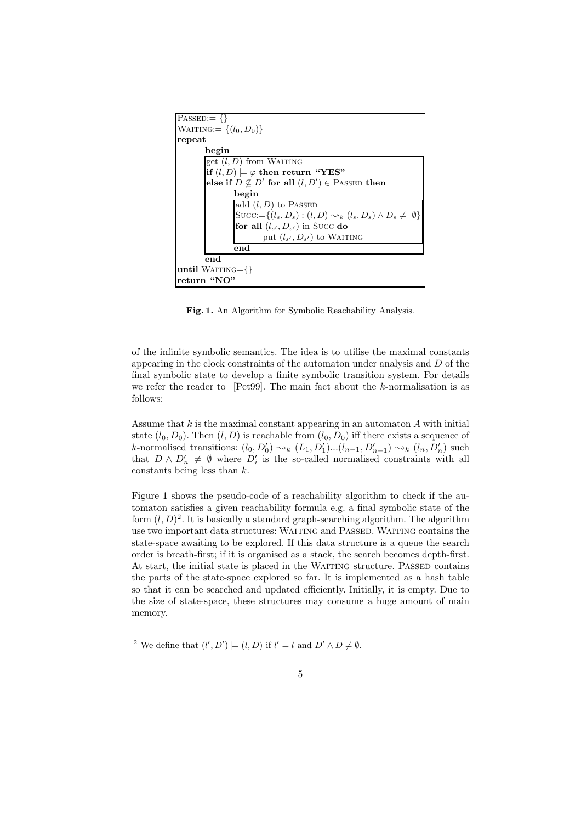| $PassED:= \{\}$                                                                        |
|----------------------------------------------------------------------------------------|
| WAITING:= $\{(l_0, D_0)\}\$                                                            |
| repeat                                                                                 |
| begin                                                                                  |
| get $(l, D)$ from WAITING                                                              |
| if $(l, D) \models \varphi$ then return "YES"                                          |
| else if $D \not\subseteq D'$ for all $(l, D') \in$ PASSED then                         |
| begin                                                                                  |
| add $(l, D)$ to PASSED                                                                 |
| SUCC:={ $(l_s, D_s) : (l, D) \rightsquigarrow_k (l_s, D_s) \land D_s \neq \emptyset$ ] |
| for all $(l_{s'}, D_{s'})$ in Succ do                                                  |
| put $(l_{s'}, D_{s'})$ to WAITING                                                      |
| $_{\mathrm{end}}$                                                                      |
| end                                                                                    |
| until WAITING= $\{\}$                                                                  |
| return "NO"                                                                            |

**Fig. 1.** An Algorithm for Symbolic Reachability Analysis.

of the infinite symbolic semantics. The idea is to utilise the maximal constants appearing in the clock constraints of the automaton under analysis and D of the final symbolic state to develop a finite symbolic transition system. For details we refer the reader to [Pet99]. The main fact about the  $k$ -normalisation is as follows:

Assume that  $k$  is the maximal constant appearing in an automaton  $A$  with initial state  $(l_0, D_0)$ . Then  $(l, D)$  is reachable from  $(l_0, D_0)$  iff there exists a sequence of k-normalised transitions:  $(l_0, D'_0) \rightsquigarrow_k (L_1, D'_1)...(l_{n-1}, D'_{n-1}) \rightsquigarrow_k (l_n, D'_n)$  such<br>that  $D \wedge D' \neq \emptyset$  where  $D'$  is the so called normalised constraints with all that  $D \wedge D'_n \neq \emptyset$  where  $D'_i$  is the so-called normalised constraints with all constants being less than k constants being less than  $k$ .

Figure 1 shows the pseudo-code of a reachability algorithm to check if the automaton satisfies a given reachability formula e.g. a final symbolic state of the form  $(l, D)^2$ . It is basically a standard graph-searching algorithm. The algorithm use two important data structures: Waiting and Passed. Waiting contains the state-space awaiting to be explored. If this data structure is a queue the search order is breath-first; if it is organised as a stack, the search becomes depth-first. At start, the initial state is placed in the WAITING structure. PASSED contains the parts of the state-space explored so far. It is implemented as a hash table so that it can be searched and updated efficiently. Initially, it is empty. Due to the size of state-space, these structures may consume a huge amount of main memory.

<sup>&</sup>lt;sup>2</sup> We define that  $(l', D') \models (l, D)$  if  $l' = l$  and  $D' \wedge D \neq \emptyset$ .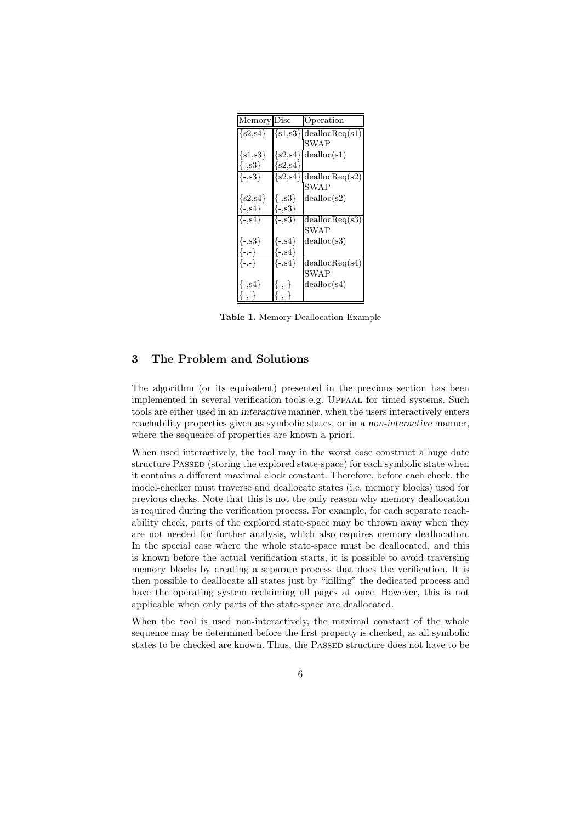| Memory Disc |             | Operation                              |
|-------------|-------------|----------------------------------------|
| ${s2,s4}$   |             | $ \{s1,s3\} $ dealloc $\text{Req}(s1)$ |
|             |             | <b>SWAP</b>                            |
| $\{s1,s3\}$ |             | $\{s2,s4\}$ dealloc(s1)                |
| ${-}s3$     | $\{s2,s4\}$ |                                        |
| ${-}s3$     |             | $\{s2,s4\}$ dealloc $\text{Req}(s2)$   |
|             |             | SWAP                                   |
| $\{s2,s4\}$ | ${-,}$ s3}  | dealloc(s2)                            |
| ${-}s4$     | ${-,}$ s3}  |                                        |
| ${-}s4$     | ${-,}$ s3}  | deallocReg(s3)                         |
|             |             | <b>SWAP</b>                            |
| ${-,}$ s3}  | ${-}s4$     | dealloc(s3)                            |
| ${-,-}$     | ${-,}s4$    |                                        |
| $\{-. \}$   | ${-,}s4$    | $\overline{\text{delay}}(s4)$          |
|             |             | $_{\rm SWAP}$                          |
| ${-}s4$     | ${-,-}$     | dealloc(s4)                            |
| ${-,-}$     | $\{-,-\}$   |                                        |

**Table 1.** Memory Deallocation Example

# **3 The Problem and Solutions**

The algorithm (or its equivalent) presented in the previous section has been implemented in several verification tools e.g. UPPAAL for timed systems. Such tools are either used in an *interactive* manner, when the users interactively enters reachability properties given as symbolic states, or in a *non-interactive* manner, where the sequence of properties are known a priori.

When used interactively, the tool may in the worst case construct a huge date structure Passed (storing the explored state-space) for each symbolic state when it contains a different maximal clock constant. Therefore, before each check, the model-checker must traverse and deallocate states (i.e. memory blocks) used for previous checks. Note that this is not the only reason why memory deallocation is required during the verification process. For example, for each separate reachability check, parts of the explored state-space may be thrown away when they are not needed for further analysis, which also requires memory deallocation. In the special case where the whole state-space must be deallocated, and this is known before the actual verification starts, it is possible to avoid traversing memory blocks by creating a separate process that does the verification. It is then possible to deallocate all states just by "killing" the dedicated process and have the operating system reclaiming all pages at once. However, this is not applicable when only parts of the state-space are deallocated.

When the tool is used non-interactively, the maximal constant of the whole sequence may be determined before the first property is checked, as all symbolic states to be checked are known. Thus, the PASSED structure does not have to be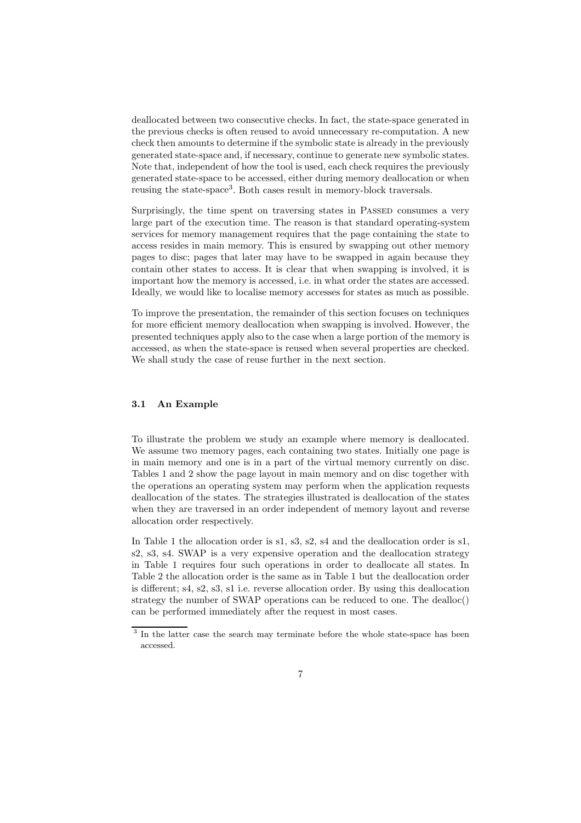deallocated between two consecutive checks. In fact, the state-space generated in the previous checks is often reused to avoid unnecessary re-computation. A new check then amounts to determine if the symbolic state is already in the previously generated state-space and, if necessary, continue to generate new symbolic states. Note that, independent of how the tool is used, each check requires the previously generated state-space to be accessed, either during memory deallocation or when reusing the state-space<sup>3</sup>. Both cases result in memory-block traversals.

Surprisingly, the time spent on traversing states in PASSED consumes a very large part of the execution time. The reason is that standard operating-system services for memory management requires that the page containing the state to access resides in main memory. This is ensured by swapping out other memory pages to disc; pages that later may have to be swapped in again because they contain other states to access. It is clear that when swapping is involved, it is important how the memory is accessed, i.e. in what order the states are accessed. Ideally, we would like to localise memory accesses for states as much as possible.

To improve the presentation, the remainder of this section focuses on techniques for more efficient memory deallocation when swapping is involved. However, the presented techniques apply also to the case when a large portion of the memory is accessed, as when the state-space is reused when several properties are checked. We shall study the case of reuse further in the next section.

#### **3.1 An Example**

To illustrate the problem we study an example where memory is deallocated. We assume two memory pages, each containing two states. Initially one page is in main memory and one is in a part of the virtual memory currently on disc. Tables 1 and 2 show the page layout in main memory and on disc together with the operations an operating system may perform when the application requests deallocation of the states. The strategies illustrated is deallocation of the states when they are traversed in an order independent of memory layout and reverse allocation order respectively.

In Table 1 the allocation order is s1, s3, s2, s4 and the deallocation order is s1, s2, s3, s4. SWAP is a very expensive operation and the deallocation strategy in Table 1 requires four such operations in order to deallocate all states. In Table 2 the allocation order is the same as in Table 1 but the deallocation order is different; s4, s2, s3, s1 i.e. reverse allocation order. By using this deallocation strategy the number of SWAP operations can be reduced to one. The dealloc() can be performed immediately after the request in most cases.

<sup>&</sup>lt;sup>3</sup> In the latter case the search may terminate before the whole state-space has been accessed.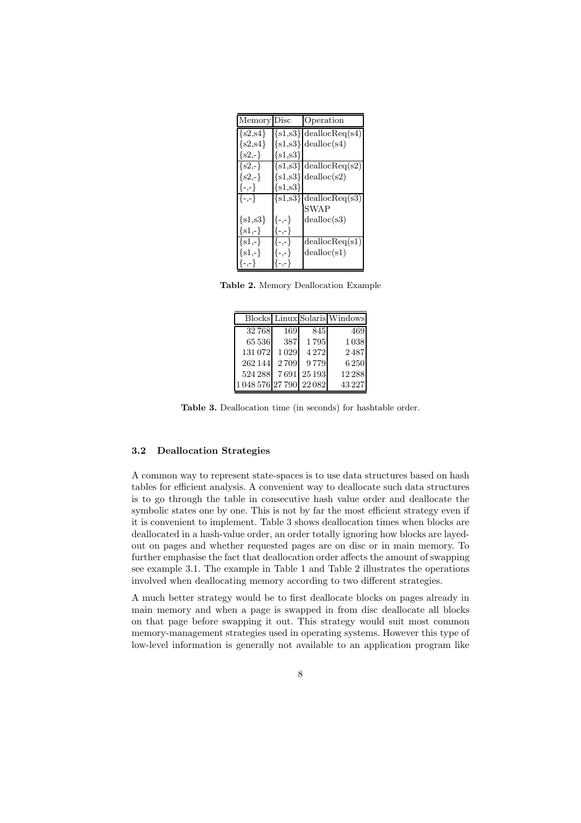| Memory Disc |             | Operation                                                  |
|-------------|-------------|------------------------------------------------------------|
| $\{s2,s4\}$ |             | $\{\text{s1},\text{s3}\}\$ dealloc $\text{Req}(\text{s4})$ |
| $\{s2,s4\}$ |             | $\{s1,s3\}$ dealloc(s4)                                    |
| $\{s2, -\}$ | $\{s1,s3\}$ |                                                            |
| ${s2,-}$    |             | $\{s1,s3\}$ dealloc $\text{Req}(s2)$                       |
| $\{s2, -\}$ |             | $\{s1,s3\}$ dealloc(s2)                                    |
| ${-,-}$     | $\{s1,s3\}$ |                                                            |
| ${-,-}$     |             | $\{s1,s3\}$ dealloc $\text{Req}(s3)$                       |
|             |             | <b>SWAP</b>                                                |
| $\{s1,s3\}$ | ${-,-}$     | dealloc(s3)                                                |
| $\{s1, -\}$ | ${-,-}$     |                                                            |
| $\{s1, -\}$ | ${-,-}$     | deallocReg(s1)                                             |
| $\{s1, -\}$ | ${-,-}$     | dealloc(s1)                                                |
| {−,− }      | {−,− }      |                                                            |

**Table 2.** Memory Deallocation Example

|                         |      |            | Blocks Linux Solaris Windows |
|-------------------------|------|------------|------------------------------|
| 32768                   | 169  | 845        | 469                          |
| 65 536                  | 387  | 1795       | 1038                         |
| 131072                  | 1029 | 4272       | 2487                         |
| 262 144                 | 2709 | 9779       | 6250                         |
| 524 288                 |      | 7691 25193 | 12288                        |
| 1 048 576 27 790 22 082 |      |            | 43227                        |

**Table 3.** Deallocation time (in seconds) for hashtable order.

#### **3.2 Deallocation Strategies**

A common way to represent state-spaces is to use data structures based on hash tables for efficient analysis. A convenient way to deallocate such data structures is to go through the table in consecutive hash value order and deallocate the symbolic states one by one. This is not by far the most efficient strategy even if it is convenient to implement. Table 3 shows deallocation times when blocks are deallocated in a hash-value order, an order totally ignoring how blocks are layedout on pages and whether requested pages are on disc or in main memory. To further emphasise the fact that deallocation order affects the amount of swapping see example 3.1. The example in Table 1 and Table 2 illustrates the operations involved when deallocating memory according to two different strategies.

A much better strategy would be to first deallocate blocks on pages already in main memory and when a page is swapped in from disc deallocate all blocks on that page before swapping it out. This strategy would suit most common memory-management strategies used in operating systems. However this type of low-level information is generally not available to an application program like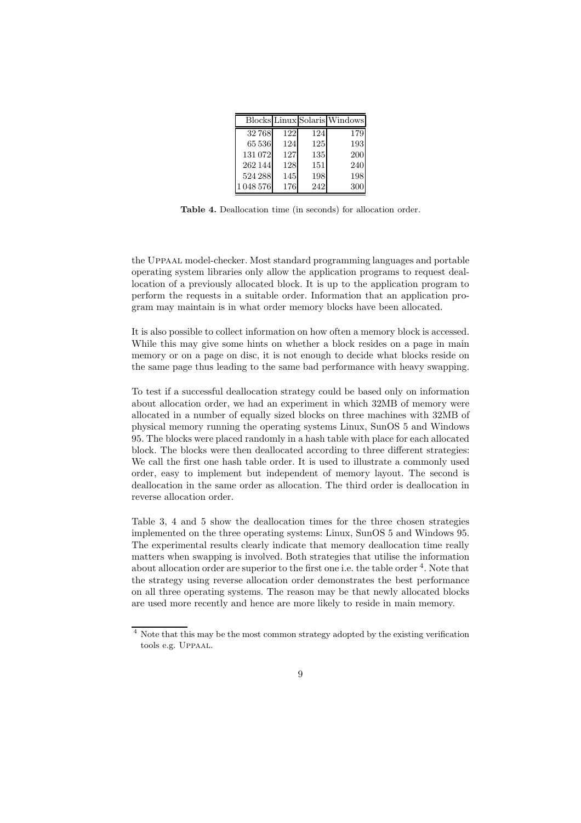|         |     |     | Blocks Linux Solaris Windows |
|---------|-----|-----|------------------------------|
| 32768   | 122 | 124 | 179                          |
| 65 536  | 124 | 125 | 193                          |
| 131072  | 127 | 135 | 200                          |
| 262144  | 128 | 151 | 240                          |
| 524 288 | 145 | 198 | 198                          |
| 1048576 | 176 | 242 | 300                          |

**Table 4.** Deallocation time (in seconds) for allocation order.

the Uppaal model-checker. Most standard programming languages and portable operating system libraries only allow the application programs to request deallocation of a previously allocated block. It is up to the application program to perform the requests in a suitable order. Information that an application program may maintain is in what order memory blocks have been allocated.

It is also possible to collect information on how often a memory block is accessed. While this may give some hints on whether a block resides on a page in main memory or on a page on disc, it is not enough to decide what blocks reside on the same page thus leading to the same bad performance with heavy swapping.

To test if a successful deallocation strategy could be based only on information about allocation order, we had an experiment in which 32MB of memory were allocated in a number of equally sized blocks on three machines with 32MB of physical memory running the operating systems Linux, SunOS 5 and Windows 95. The blocks were placed randomly in a hash table with place for each allocated block. The blocks were then deallocated according to three different strategies: We call the first one hash table order. It is used to illustrate a commonly used order, easy to implement but independent of memory layout. The second is deallocation in the same order as allocation. The third order is deallocation in reverse allocation order.

Table 3, 4 and 5 show the deallocation times for the three chosen strategies implemented on the three operating systems: Linux, SunOS 5 and Windows 95. The experimental results clearly indicate that memory deallocation time really matters when swapping is involved. Both strategies that utilise the information about allocation order are superior to the first one i.e. the table order  $4$ . Note that the strategy using reverse allocation order demonstrates the best performance on all three operating systems. The reason may be that newly allocated blocks are used more recently and hence are more likely to reside in main memory.

<sup>4</sup> Note that this may be the most common strategy adopted by the existing verification tools e.g. Uppaal.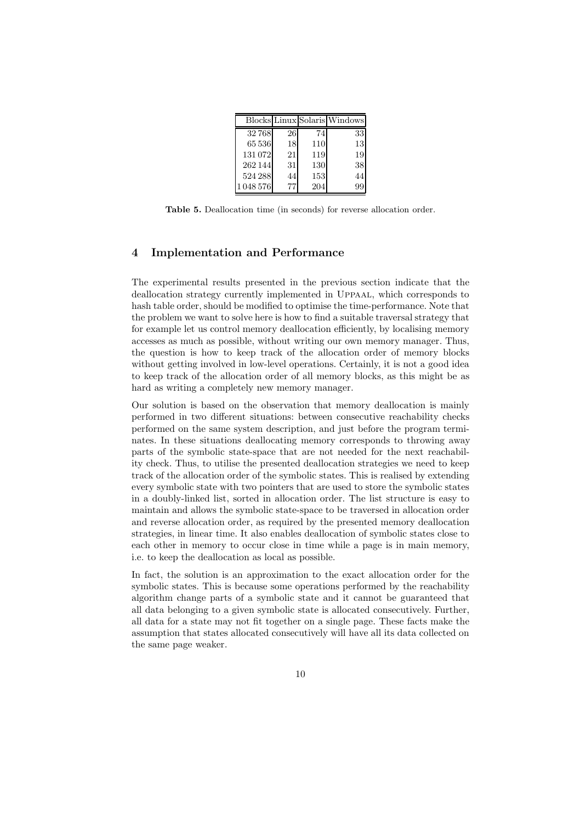|         |    |     | Blocks Linux Solaris Windows |
|---------|----|-----|------------------------------|
| 32768   | 26 | 74  | 33                           |
| 65 536  | 18 | 110 | 13                           |
| 131072  | 21 | 119 | 19                           |
| 262 144 | 31 | 130 | 38                           |
| 524 288 | 44 | 153 | 44                           |
| 1048576 | 77 | 204 | 99                           |

**Table 5.** Deallocation time (in seconds) for reverse allocation order.

# **4 Implementation and Performance**

The experimental results presented in the previous section indicate that the deallocation strategy currently implemented in Uppaal, which corresponds to hash table order, should be modified to optimise the time-performance. Note that the problem we want to solve here is how to find a suitable traversal strategy that for example let us control memory deallocation efficiently, by localising memory accesses as much as possible, without writing our own memory manager. Thus, the question is how to keep track of the allocation order of memory blocks without getting involved in low-level operations. Certainly, it is not a good idea to keep track of the allocation order of all memory blocks, as this might be as hard as writing a completely new memory manager.

Our solution is based on the observation that memory deallocation is mainly performed in two different situations: between consecutive reachability checks performed on the same system description, and just before the program terminates. In these situations deallocating memory corresponds to throwing away parts of the symbolic state-space that are not needed for the next reachability check. Thus, to utilise the presented deallocation strategies we need to keep track of the allocation order of the symbolic states. This is realised by extending every symbolic state with two pointers that are used to store the symbolic states in a doubly-linked list, sorted in allocation order. The list structure is easy to maintain and allows the symbolic state-space to be traversed in allocation order and reverse allocation order, as required by the presented memory deallocation strategies, in linear time. It also enables deallocation of symbolic states close to each other in memory to occur close in time while a page is in main memory, i.e. to keep the deallocation as local as possible.

In fact, the solution is an approximation to the exact allocation order for the symbolic states. This is because some operations performed by the reachability algorithm change parts of a symbolic state and it cannot be guaranteed that all data belonging to a given symbolic state is allocated consecutively. Further, all data for a state may not fit together on a single page. These facts make the assumption that states allocated consecutively will have all its data collected on the same page weaker.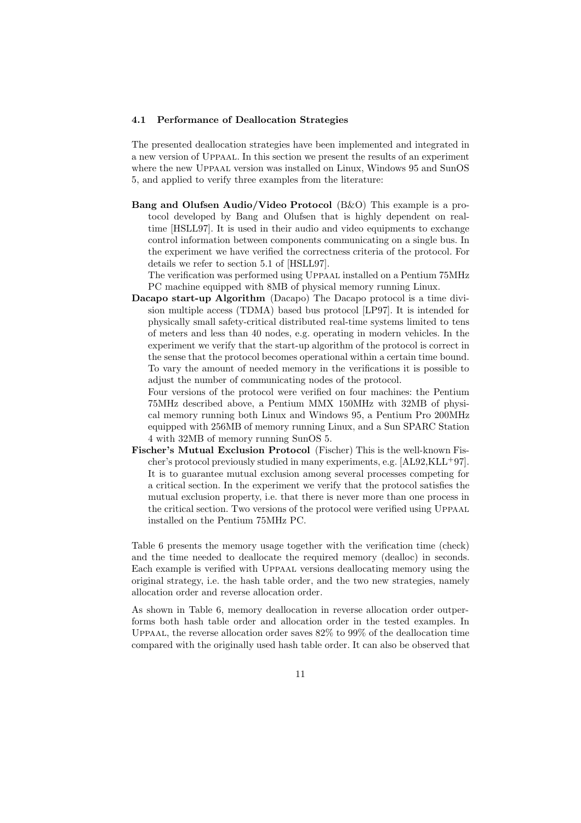#### **4.1 Performance of Deallocation Strategies**

The presented deallocation strategies have been implemented and integrated in a new version of Uppaal. In this section we present the results of an experiment where the new UPPAAL version was installed on Linux, Windows 95 and SunOS 5, and applied to verify three examples from the literature:

**Bang and Olufsen Audio/Video Protocol** (B&O) This example is a protocol developed by Bang and Olufsen that is highly dependent on realtime [HSLL97]. It is used in their audio and video equipments to exchange control information between components communicating on a single bus. In the experiment we have verified the correctness criteria of the protocol. For details we refer to section 5.1 of [HSLL97].

The verification was performed using Uppaal installed on a Pentium 75MHz PC machine equipped with 8MB of physical memory running Linux.

**Dacapo start-up Algorithm** (Dacapo) The Dacapo protocol is a time division multiple access (TDMA) based bus protocol [LP97]. It is intended for physically small safety-critical distributed real-time systems limited to tens of meters and less than 40 nodes, e.g. operating in modern vehicles. In the experiment we verify that the start-up algorithm of the protocol is correct in the sense that the protocol becomes operational within a certain time bound. To vary the amount of needed memory in the verifications it is possible to adjust the number of communicating nodes of the protocol.

Four versions of the protocol were verified on four machines: the Pentium 75MHz described above, a Pentium MMX 150MHz with 32MB of physical memory running both Linux and Windows 95, a Pentium Pro 200MHz equipped with 256MB of memory running Linux, and a Sun SPARC Station 4 with 32MB of memory running SunOS 5.

**Fischer's Mutual Exclusion Protocol** (Fischer) This is the well-known Fischer's protocol previously studied in many experiments, e.g. [AL92,KLL<sup>+</sup>97]. It is to guarantee mutual exclusion among several processes competing for a critical section. In the experiment we verify that the protocol satisfies the mutual exclusion property, i.e. that there is never more than one process in the critical section. Two versions of the protocol were verified using Uppaal installed on the Pentium 75MHz PC.

Table 6 presents the memory usage together with the verification time (check) and the time needed to deallocate the required memory (dealloc) in seconds. Each example is verified with Uppaal versions deallocating memory using the original strategy, i.e. the hash table order, and the two new strategies, namely allocation order and reverse allocation order.

As shown in Table 6, memory deallocation in reverse allocation order outperforms both hash table order and allocation order in the tested examples. In Uppaal, the reverse allocation order saves 82% to 99% of the deallocation time compared with the originally used hash table order. It can also be observed that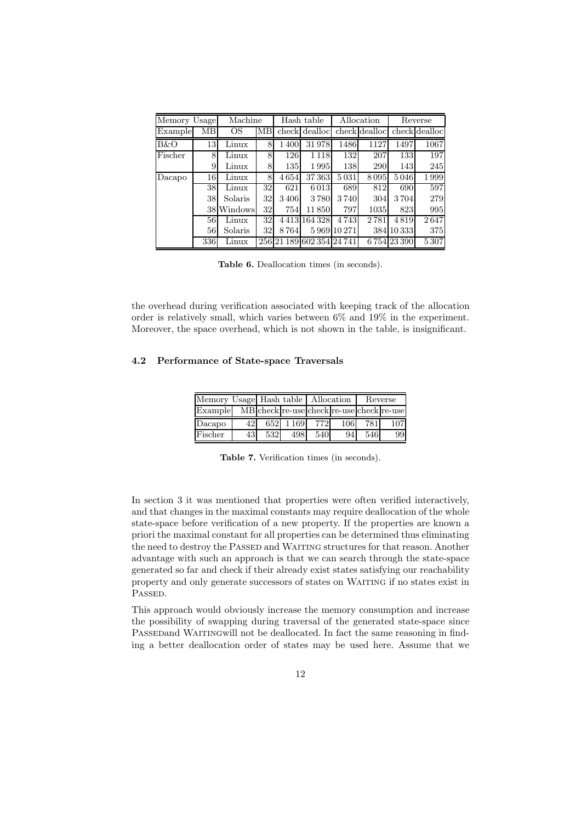| Memory Usage |     | Machine |    | Hash table |                           | Allocation |               | Reverse    |               |
|--------------|-----|---------|----|------------|---------------------------|------------|---------------|------------|---------------|
| Example      | MB  | OS.     | MB |            | check dealloc             |            | check dealloc |            | check dealloc |
| B&O          | 13  | Linux   | 8  | 1400       | 31978                     | 1486       | 1127          | 1497       | 1067          |
| Fischer      | 8   | Linux   | 8  | 126        | 1 1 1 8                   | 132        | 207           | 133        | 197           |
|              | 9   | Linux   | 8  | 135        | 1995                      | 138        | 290           | 143        | 245           |
| Dacapo       | 16  | Linux   | 8  | 4654       | 37 363                    | 5031       | 8095          | 5046       | 1999          |
|              | 38  | Linux   | 32 | 621        | 6013                      | 689        | 812           | 690        | 597           |
|              | 38  | Solaris | 32 | 3406       | 3780                      | 3740       | 304           | 3704       | 279           |
|              | 381 | Windows | 32 | 754        | 11850                     | 797        | 1035          | 823        | 995           |
|              | 56  | Linux   | 32 |            | 4413 164 328              | 4743       | 2781          | 4819       | 2647          |
|              | 56  | Solaris | 32 | 8764       |                           | 5969 10271 |               | 384 10 333 | 375           |
|              | 336 | Linux   |    |            | 256 21 189 602 354 24 741 |            |               | 675423390  | 5307          |

**Table 6.** Deallocation times (in seconds).

the overhead during verification associated with keeping track of the allocation order is relatively small, which varies between 6% and 19% in the experiment. Moreover, the space overhead, which is not shown in the table, is insignificant.

#### **4.2 Performance of State-space Traversals**

| Memory Usage Hash table   Allocation |    |     |         |     |     | Reverse |                                           |
|--------------------------------------|----|-----|---------|-----|-----|---------|-------------------------------------------|
| Example                              |    |     |         |     |     |         | MB check re-use check re-use check re-use |
| Dacapo                               | 42 | 652 | 1 1 6 9 | 772 | 106 | 781     | 107                                       |
| Fischer                              | 43 | 532 | 498     | 540 | 94  | 546     | 99                                        |

**Table 7.** Verification times (in seconds).

In section 3 it was mentioned that properties were often verified interactively, and that changes in the maximal constants may require deallocation of the whole state-space before verification of a new property. If the properties are known a priori the maximal constant for all properties can be determined thus eliminating the need to destroy the PASSED and WAITING structures for that reason. Another advantage with such an approach is that we can search through the state-space generated so far and check if their already exist states satisfying our reachability property and only generate successors of states on WAITING if no states exist in Passed.

This approach would obviously increase the memory consumption and increase the possibility of swapping during traversal of the generated state-space since PASSED and WAITING will not be deallocated. In fact the same reasoning in finding a better deallocation order of states may be used here. Assume that we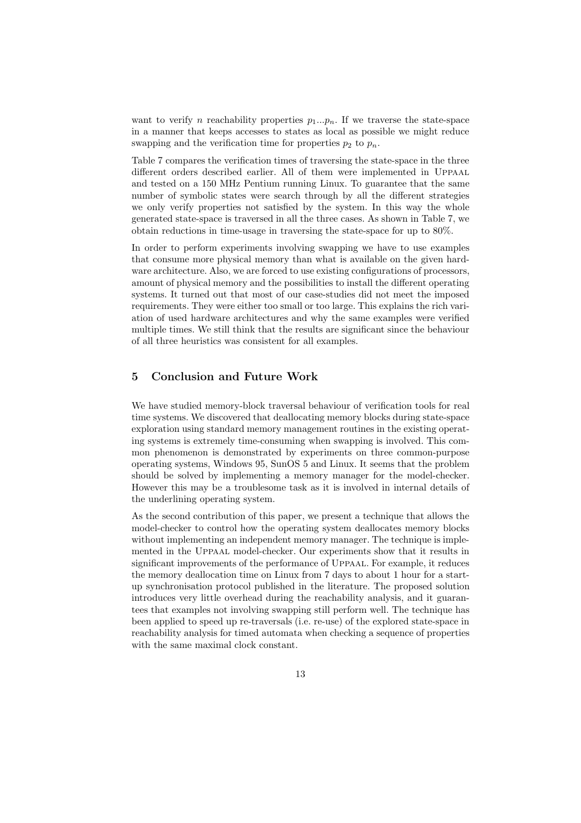want to verify n reachability properties  $p_1...p_n$ . If we traverse the state-space in a manner that keeps accesses to states as local as possible we might reduce swapping and the verification time for properties  $p_2$  to  $p_n$ .

Table 7 compares the verification times of traversing the state-space in the three different orders described earlier. All of them were implemented in Uppaal and tested on a 150 MHz Pentium running Linux. To guarantee that the same number of symbolic states were search through by all the different strategies we only verify properties not satisfied by the system. In this way the whole generated state-space is traversed in all the three cases. As shown in Table 7, we obtain reductions in time-usage in traversing the state-space for up to 80%.

In order to perform experiments involving swapping we have to use examples that consume more physical memory than what is available on the given hardware architecture. Also, we are forced to use existing configurations of processors, amount of physical memory and the possibilities to install the different operating systems. It turned out that most of our case-studies did not meet the imposed requirements. They were either too small or too large. This explains the rich variation of used hardware architectures and why the same examples were verified multiple times. We still think that the results are significant since the behaviour of all three heuristics was consistent for all examples.

# **5 Conclusion and Future Work**

We have studied memory-block traversal behaviour of verification tools for real time systems. We discovered that deallocating memory blocks during state-space exploration using standard memory management routines in the existing operating systems is extremely time-consuming when swapping is involved. This common phenomenon is demonstrated by experiments on three common-purpose operating systems, Windows 95, SunOS 5 and Linux. It seems that the problem should be solved by implementing a memory manager for the model-checker. However this may be a troublesome task as it is involved in internal details of the underlining operating system.

As the second contribution of this paper, we present a technique that allows the model-checker to control how the operating system deallocates memory blocks without implementing an independent memory manager. The technique is implemented in the Uppaal model-checker. Our experiments show that it results in significant improvements of the performance of UPPAAL. For example, it reduces the memory deallocation time on Linux from 7 days to about 1 hour for a startup synchronisation protocol published in the literature. The proposed solution introduces very little overhead during the reachability analysis, and it guarantees that examples not involving swapping still perform well. The technique has been applied to speed up re-traversals (i.e. re-use) of the explored state-space in reachability analysis for timed automata when checking a sequence of properties with the same maximal clock constant.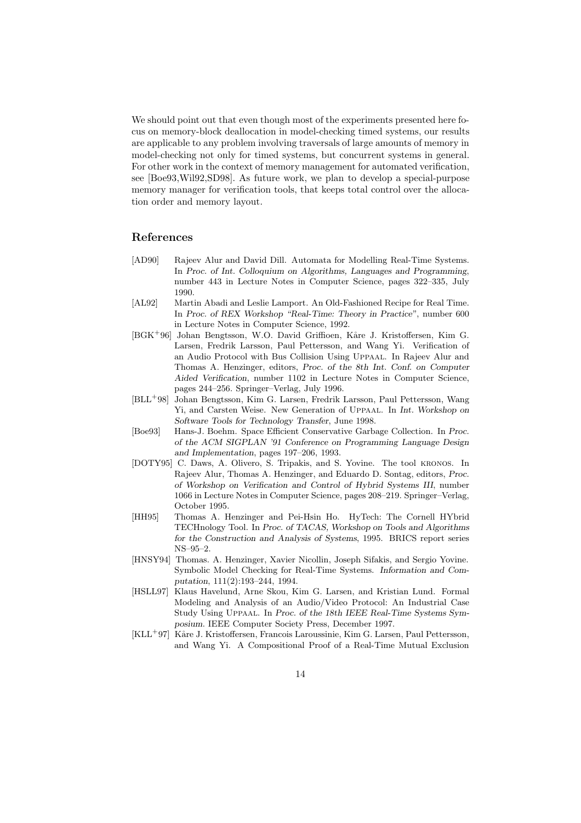We should point out that even though most of the experiments presented here focus on memory-block deallocation in model-checking timed systems, our results are applicable to any problem involving traversals of large amounts of memory in model-checking not only for timed systems, but concurrent systems in general. For other work in the context of memory management for automated verification, see [Boe93,Wil92,SD98]. As future work, we plan to develop a special-purpose memory manager for verification tools, that keeps total control over the allocation order and memory layout.

### **References**

- [AD90] Rajeev Alur and David Dill. Automata for Modelling Real-Time Systems. In *Proc. of Int. Colloquium on Algorithms, Languages and Programming*, number 443 in Lecture Notes in Computer Science, pages 322–335, July 1990.
- [AL92] Martin Abadi and Leslie Lamport. An Old-Fashioned Recipe for Real Time. In *Proc. of REX Workshop "Real-Time: Theory in Practice"*, number 600 in Lecture Notes in Computer Science, 1992.
- [BGK<sup>+</sup>96] Johan Bengtsson, W.O. David Griffioen, Kåre J. Kristoffersen, Kim G. Larsen, Fredrik Larsson, Paul Pettersson, and Wang Yi. Verification of an Audio Protocol with Bus Collision Using Uppaal. In Rajeev Alur and Thomas A. Henzinger, editors, *Proc. of the 8th Int. Conf. on Computer Aided Verification*, number 1102 in Lecture Notes in Computer Science, pages 244–256. Springer–Verlag, July 1996.
- [BLL<sup>+</sup>98] Johan Bengtsson, Kim G. Larsen, Fredrik Larsson, Paul Pettersson, Wang Yi, and Carsten Weise. New Generation of Uppaal. In *Int. Workshop on Software Tools for Technology Transfer*, June 1998.
- [Boe93] Hans-J. Boehm. Space Efficient Conservative Garbage Collection. In *Proc. of the ACM SIGPLAN '91 Conference on Programming Language Design and Implementation*, pages 197–206, 1993.
- [DOTY95] C. Daws, A. Olivero, S. Tripakis, and S. Yovine. The tool kronos. In Rajeev Alur, Thomas A. Henzinger, and Eduardo D. Sontag, editors, *Proc. of Workshop on Verification and Control of Hybrid Systems III*, number 1066 in Lecture Notes in Computer Science, pages 208–219. Springer–Verlag, October 1995.
- [HH95] Thomas A. Henzinger and Pei-Hsin Ho. HyTech: The Cornell HYbrid TECHnology Tool. In *Proc. of TACAS, Workshop on Tools and Algorithms for the Construction and Analysis of Systems*, 1995. BRICS report series NS–95–2.
- [HNSY94] Thomas. A. Henzinger, Xavier Nicollin, Joseph Sifakis, and Sergio Yovine. Symbolic Model Checking for Real-Time Systems. *Information and Computation*, 111(2):193–244, 1994.
- [HSLL97] Klaus Havelund, Arne Skou, Kim G. Larsen, and Kristian Lund. Formal Modeling and Analysis of an Audio/Video Protocol: An Industrial Case Study Using Uppaal. In *Proc. of the 18th IEEE Real-Time Systems Symposium*. IEEE Computer Society Press, December 1997.
- [KLL<sup>+</sup>97] Kåre J. Kristoffersen, Francois Laroussinie, Kim G. Larsen, Paul Pettersson, and Wang Yi. A Compositional Proof of a Real-Time Mutual Exclusion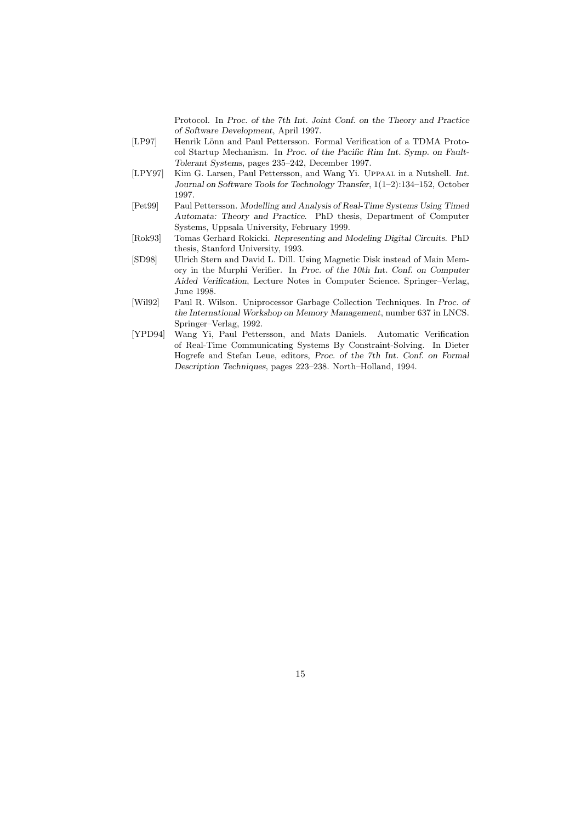Protocol. In *Proc. of the 7th Int. Joint Conf. on the Theory and Practice of Software Development*, April 1997.

- [LP97] Henrik Lönn and Paul Pettersson. Formal Verification of a TDMA Protocol Startup Mechanism. In *Proc. of the Pacific Rim Int. Symp. on Fault-Tolerant Systems*, pages 235–242, December 1997.
- [LPY97] Kim G. Larsen, Paul Pettersson, and Wang Yi. Uppaal in a Nutshell. *Int. Journal on Software Tools for Technology Transfer*, 1(1–2):134–152, October 1997.
- [Pet99] Paul Pettersson. *Modelling and Analysis of Real-Time Systems Using Timed Automata: Theory and Practice*. PhD thesis, Department of Computer Systems, Uppsala University, February 1999.
- [Rok93] Tomas Gerhard Rokicki. *Representing and Modeling Digital Circuits*. PhD thesis, Stanford University, 1993.
- [SD98] Ulrich Stern and David L. Dill. Using Magnetic Disk instead of Main Memory in the Murphi Verifier. In *Proc. of the 10th Int. Conf. on Computer Aided Verification*, Lecture Notes in Computer Science. Springer–Verlag, June 1998.
- [Wil92] Paul R. Wilson. Uniprocessor Garbage Collection Techniques. In *Proc. of the International Workshop on Memory Management*, number 637 in LNCS. Springer–Verlag, 1992.
- [YPD94] Wang Yi, Paul Pettersson, and Mats Daniels. Automatic Verification of Real-Time Communicating Systems By Constraint-Solving. In Dieter Hogrefe and Stefan Leue, editors, *Proc. of the 7th Int. Conf. on Formal Description Techniques*, pages 223–238. North–Holland, 1994.